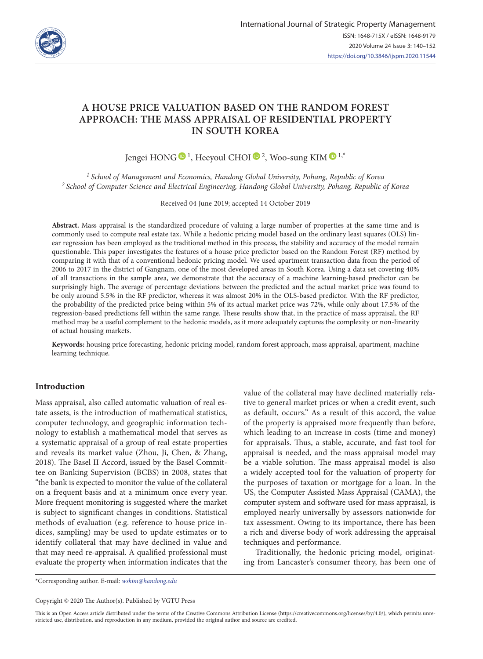

# **A HOUSE PRICE VALUATION BASED ON THE RANDOM FOREST APPROACH: THE MASS APPRAISAL OF RESIDENTIAL PROPERTY IN SOUTH KOREA**

Jengei HONG  $\bigcirc$  <sup>1</sup>, Heeyoul CHOI  $\bigcirc$  <sup>2</sup>, Woo-sung KIM  $\bigcirc$  <sup>1,\*</sup>

*1 School of Management and Economics, Handong Global University, Pohang, Republic of Korea 2 School of Computer Science and Electrical Engineering, Handong Global University, Pohang, Republic of Korea*

Received 04 June 2019; accepted 14 October 2019

**Abstract.** Mass appraisal is the standardized procedure of valuing a large number of properties at the same time and is commonly used to compute real estate tax. While a hedonic pricing model based on the ordinary least squares (OLS) linear regression has been employed as the traditional method in this process, the stability and accuracy of the model remain questionable. This paper investigates the features of a house price predictor based on the Random Forest (RF) method by comparing it with that of a conventional hedonic pricing model. We used apartment transaction data from the period of 2006 to 2017 in the district of Gangnam, one of the most developed areas in South Korea. Using a data set covering 40% of all transactions in the sample area, we demonstrate that the accuracy of a machine learning-based predictor can be surprisingly high. The average of percentage deviations between the predicted and the actual market price was found to be only around 5.5% in the RF predictor, whereas it was almost 20% in the OLS-based predictor. With the RF predictor, the probability of the predicted price being within 5% of its actual market price was 72%, while only about 17.5% of the regression-based predictions fell within the same range. These results show that, in the practice of mass appraisal, the RF method may be a useful complement to the hedonic models, as it more adequately captures the complexity or non-linearity of actual housing markets.

**Keywords:** housing price forecasting, hedonic pricing model, random forest approach, mass appraisal, apartment, machine learning technique.

# **Introduction**

Mass appraisal, also called automatic valuation of real estate assets, is the introduction of mathematical statistics, computer technology, and geographic information technology to establish a mathematical model that serves as a systematic appraisal of a group of real estate properties and reveals its market value (Zhou, Ji, Chen, & Zhang, 2018). The Basel II Accord, issued by the Basel Committee on Banking Supervision (BCBS) in 2008, states that "the bank is expected to monitor the value of the collateral on a frequent basis and at a minimum once every year. More frequent monitoring is suggested where the market is subject to significant changes in conditions. Statistical methods of evaluation (e.g. reference to house price indices, sampling) may be used to update estimates or to identify collateral that may have declined in value and that may need re-appraisal. A qualified professional must evaluate the property when information indicates that the

value of the collateral may have declined materially relative to general market prices or when a credit event, such as default, occurs." As a result of this accord, the value of the property is appraised more frequently than before, which leading to an increase in costs (time and money) for appraisals. Thus, a stable, accurate, and fast tool for appraisal is needed, and the mass appraisal model may be a viable solution. The mass appraisal model is also a widely accepted tool for the valuation of property for the purposes of taxation or mortgage for a loan. In the US, the Computer Assisted Mass Appraisal (CAMA), the computer system and software used for mass appraisal, is employed nearly universally by assessors nationwide for tax assessment. Owing to its importance, there has been a rich and diverse body of work addressing the appraisal techniques and performance.

Traditionally, the hedonic pricing model, originating from Lancaster's consumer theory, has been one of

\*Corresponding author. E-mail: *[wskim@handong.edu](mailto:wskim@handong.edu)*

Copyright © 2020 The Author(s). Published by VGTU Press

This is an Open Access article distributed under the terms of the Creative Commons Attribution License [\(https://creativecommons.org/licenses/by/4.0/\)](http://creativecommons.org/licenses/by/4.0/), which permits unrestricted use, distribution, and reproduction in any medium, provided the original author and source are credited.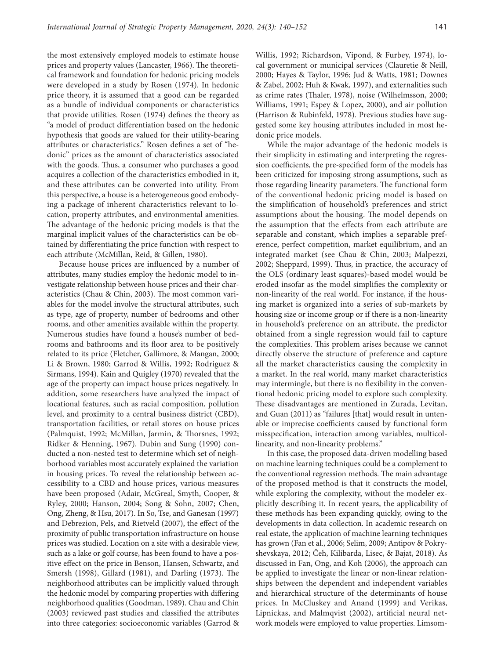the most extensively employed models to estimate house prices and property values (Lancaster, 1966). The theoretical framework and foundation for hedonic pricing models were developed in a study by Rosen (1974). In hedonic price theory, it is assumed that a good can be regarded as a bundle of individual components or characteristics that provide utilities. Rosen (1974) defines the theory as "a model of product differentiation based on the hedonic hypothesis that goods are valued for their utility-bearing attributes or characteristics." Rosen defines a set of "hedonic" prices as the amount of characteristics associated with the goods. Thus, a consumer who purchases a good acquires a collection of the characteristics embodied in it, and these attributes can be converted into utility. From this perspective, a house is a heterogeneous good embodying a package of inherent characteristics relevant to location, property attributes, and environmental amenities. The advantage of the hedonic pricing models is that the marginal implicit values of the characteristics can be obtained by differentiating the price function with respect to each attribute (McMillan, Reid, & Gillen, 1980).

Because house prices are influenced by a number of attributes, many studies employ the hedonic model to investigate relationship between house prices and their characteristics (Chau & Chin, 2003). The most common variables for the model involve the structural attributes, such as type, age of property, number of bedrooms and other rooms, and other amenities available within the property. Numerous studies have found a house's number of bedrooms and bathrooms and its floor area to be positively related to its price (Fletcher, Gallimore, & Mangan, 2000; Li & Brown, 1980; Garrod & Willis, 1992; Rodriguez & Sirmans, 1994). Kain and Quigley (1970) revealed that the age of the property can impact house prices negatively. In addition, some researchers have analyzed the impact of locational features, such as racial composition, pollution level, and proximity to a central business district (CBD), transportation facilities, or retail stores on house prices (Palmquist, 1992; McMillan, Jarmin, & Thorsnes, 1992; Ridker & Henning, 1967). Dubin and Sung (1990) conducted a non-nested test to determine which set of neighborhood variables most accurately explained the variation in housing prices. To reveal the relationship between accessibility to a CBD and house prices, various measures have been proposed (Adair, McGreal, Smyth, Cooper, & Ryley, 2000; Hanson, 2004; Song & Sohn, 2007; Chen, Ong, Zheng, & Hsu, 2017). In So, Tse, and Ganesan (1997) and Debrezion, Pels, and Rietveld (2007), the effect of the proximity of public transportation infrastructure on house prices was studied. Location on a site with a desirable view, such as a lake or golf course, has been found to have a positive effect on the price in Benson, Hansen, Schwartz, and Smersh (1998), Gillard (1981), and Darling (1973). The neighborhood attributes can be implicitly valued through the hedonic model by comparing properties with differing neighborhood qualities (Goodman, 1989). Chau and Chin (2003) reviewed past studies and classified the attributes into three categories: socioeconomic variables (Garrod & Willis, 1992; Richardson, Vipond, & Furbey, 1974), local government or municipal services (Clauretie & Neill, 2000; Hayes & Taylor, 1996; Jud & Watts, 1981; Downes & Zabel, 2002; Huh & Kwak, 1997), and externalities such as crime rates (Thaler, 1978), noise (Wilhelmsson, 2000; Williams, 1991; Espey & Lopez, 2000), and air pollution (Harrison & Rubinfeld, 1978). Previous studies have suggested some key housing attributes included in most hedonic price models.

While the major advantage of the hedonic models is their simplicity in estimating and interpreting the regression coefficients, the pre-specified form of the models has been criticized for imposing strong assumptions, such as those regarding linearity parameters. The functional form of the conventional hedonic pricing model is based on the simplification of household's preferences and strict assumptions about the housing. The model depends on the assumption that the effects from each attribute are separable and constant, which implies a separable preference, perfect competition, market equilibrium, and an integrated market (see Chau & Chin, 2003; Malpezzi, 2002; Sheppard, 1999). Thus, in practice, the accuracy of the OLS (ordinary least squares)-based model would be eroded insofar as the model simplifies the complexity or non-linearity of the real world. For instance, if the housing market is organized into a series of sub-markets by housing size or income group or if there is a non-linearity in household's preference on an attribute, the predictor obtained from a single regression would fail to capture the complexities. This problem arises because we cannot directly observe the structure of preference and capture all the market characteristics causing the complexity in a market. In the real world, many market characteristics may intermingle, but there is no flexibility in the conventional hedonic pricing model to explore such complexity. These disadvantages are mentioned in Zurada, Levitan, and Guan (2011) as "failures [that] would result in untenable or imprecise coefficients caused by functional form misspecification, interaction among variables, multicollinearity, and non-linearity problems."

In this case, the proposed data-driven modelling based on machine learning techniques could be a complement to the conventional regression methods. The main advantage of the proposed method is that it constructs the model, while exploring the complexity, without the modeler explicitly describing it. In recent years, the applicability of these methods has been expanding quickly, owing to the developments in data collection. In academic research on real estate, the application of machine learning techniques has grown (Fan et al., 2006; Selim, 2009; Antipov & Pokryshevskaya, 2012; Čeh, Kilibarda, Lisec, & Bajat, 2018). As discussed in Fan, Ong, and Koh (2006), the approach can be applied to investigate the linear or non-linear relationships between the dependent and independent variables and hierarchical structure of the determinants of house prices. In McCluskey and Anand (1999) and Verikas, Lipnickas, and Malmqvist (2002), artificial neural network models were employed to value properties. Limsom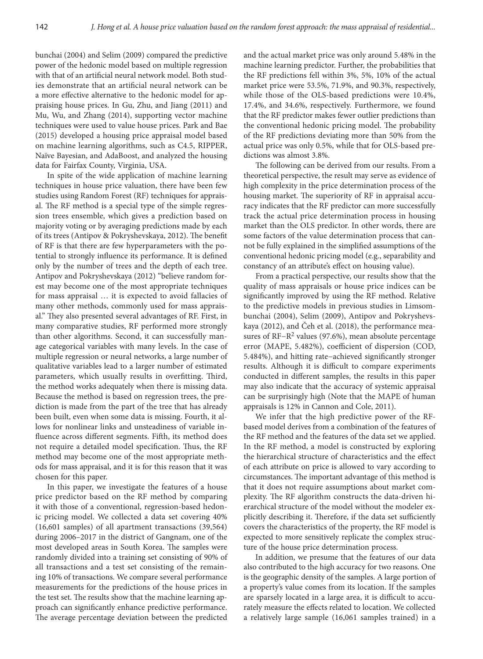bunchai (2004) and Selim (2009) compared the predictive power of the hedonic model based on multiple regression with that of an artificial neural network model. Both studies demonstrate that an artificial neural network can be a more effective alternative to the hedonic model for appraising house prices. In Gu, Zhu, and Jiang (2011) and Mu, Wu, and Zhang (2014), supporting vector machine techniques were used to value house prices. Park and Bae (2015) developed a housing price appraisal model based on machine learning algorithms, such as C4.5, RIPPER, Naïve Bayesian, and AdaBoost, and analyzed the housing data for Fairfax County, Virginia, USA.

In spite of the wide application of machine learning techniques in house price valuation, there have been few studies using Random Forest (RF) techniques for appraisal. The RF method is a special type of the simple regression trees ensemble, which gives a prediction based on majority voting or by averaging predictions made by each of its trees (Antipov & Pokryshevskaya, 2012). The benefit of RF is that there are few hyperparameters with the potential to strongly influence its performance. It is defined only by the number of trees and the depth of each tree. Antipov and Pokryshevskaya (2012) "believe random forest may become one of the most appropriate techniques for mass appraisal … it is expected to avoid fallacies of many other methods, commonly used for mass appraisal." They also presented several advantages of RF. First, in many comparative studies, RF performed more strongly than other algorithms. Second, it can successfully manage categorical variables with many levels. In the case of multiple regression or neural networks, a large number of qualitative variables lead to a larger number of estimated parameters, which usually results in overfitting. Third, the method works adequately when there is missing data. Because the method is based on regression trees, the prediction is made from the part of the tree that has already been built, even when some data is missing. Fourth, it allows for nonlinear links and unsteadiness of variable influence across different segments. Fifth, its method does not require a detailed model specification. Thus, the RF method may become one of the most appropriate methods for mass appraisal, and it is for this reason that it was chosen for this paper.

In this paper, we investigate the features of a house price predictor based on the RF method by comparing it with those of a conventional, regression-based hedonic pricing model. We collected a data set covering 40% (16,601 samples) of all apartment transactions (39,564) during 2006–2017 in the district of Gangnam, one of the most developed areas in South Korea. The samples were randomly divided into a training set consisting of 90% of all transactions and a test set consisting of the remaining 10% of transactions. We compare several performance measurements for the predictions of the house prices in the test set. The results show that the machine learning approach can significantly enhance predictive performance. The average percentage deviation between the predicted

and the actual market price was only around 5.48% in the machine learning predictor. Further, the probabilities that the RF predictions fell within 3%, 5%, 10% of the actual market price were 53.5%, 71.9%, and 90.3%, respectively, while those of the OLS-based predictions were 10.4%, 17.4%, and 34.6%, respectively. Furthermore, we found that the RF predictor makes fewer outlier predictions than the conventional hedonic pricing model. The probability of the RF predictions deviating more than 50% from the actual price was only 0.5%, while that for OLS-based predictions was almost 3.8%.

The following can be derived from our results. From a theoretical perspective, the result may serve as evidence of high complexity in the price determination process of the housing market. The superiority of RF in appraisal accuracy indicates that the RF predictor can more successfully track the actual price determination process in housing market than the OLS predictor. In other words, there are some factors of the value determination process that cannot be fully explained in the simplified assumptions of the conventional hedonic pricing model (e.g., separability and constancy of an attribute's effect on housing value).

From a practical perspective, our results show that the quality of mass appraisals or house price indices can be significantly improved by using the RF method. Relative to the predictive models in previous studies in Limsombunchai (2004), Selim (2009), Antipov and Pokryshevskaya (2012), and Čeh et al. (2018), the performance measures of RF−R2 values (97.6%), mean absolute percentage error (MAPE, 5.482%), coefficient of dispersion (COD, 5.484%), and hitting rate−achieved significantly stronger results. Although it is difficult to compare experiments conducted in different samples, the results in this paper may also indicate that the accuracy of systemic appraisal can be surprisingly high (Note that the MAPE of human appraisals is 12% in Cannon and Cole, 2011).

We infer that the high predictive power of the RFbased model derives from a combination of the features of the RF method and the features of the data set we applied. In the RF method, a model is constructed by exploring the hierarchical structure of characteristics and the effect of each attribute on price is allowed to vary according to circumstances. The important advantage of this method is that it does not require assumptions about market complexity. The RF algorithm constructs the data-driven hierarchical structure of the model without the modeler explicitly describing it. Therefore, if the data set sufficiently covers the characteristics of the property, the RF model is expected to more sensitively replicate the complex structure of the house price determination process.

In addition, we presume that the features of our data also contributed to the high accuracy for two reasons. One is the geographic density of the samples. A large portion of a property's value comes from its location. If the samples are sparsely located in a large area, it is difficult to accurately measure the effects related to location. We collected a relatively large sample (16,061 samples trained) in a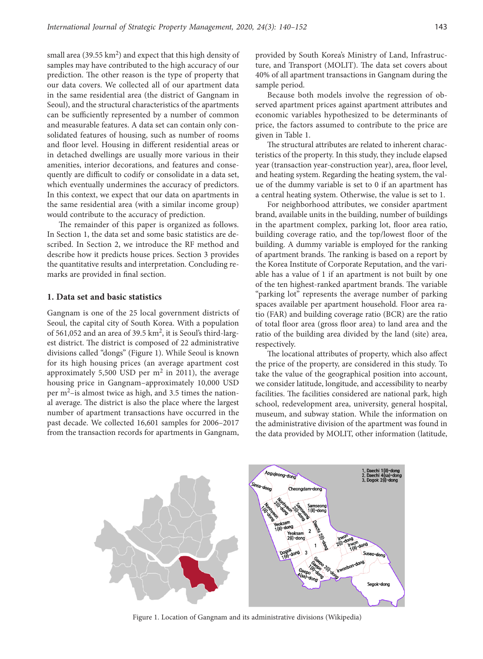small area (39.55  $km^2$ ) and expect that this high density of samples may have contributed to the high accuracy of our prediction. The other reason is the type of property that our data covers. We collected all of our apartment data in the same residential area (the district of Gangnam in Seoul), and the structural characteristics of the apartments can be sufficiently represented by a number of common and measurable features. A data set can contain only consolidated features of housing, such as number of rooms and floor level. Housing in different residential areas or in detached dwellings are usually more various in their amenities, interior decorations, and features and consequently are difficult to codify or consolidate in a data set, which eventually undermines the accuracy of predictors. In this context, we expect that our data on apartments in the same residential area (with a similar income group) would contribute to the accuracy of prediction.

The remainder of this paper is organized as follows. In Section 1, the data set and some basic statistics are described. In Section 2, we introduce the RF method and describe how it predicts house prices. Section 3 provides the quantitative results and interpretation. Concluding remarks are provided in final section.

#### **1. Data set and basic statistics**

Gangnam is one of the 25 local government districts of Seoul, the capital city of South Korea. With a population of 561,052 and an area of 39.5 km2, it is Seoul's third-largest district. The district is composed of 22 administrative divisions called "dongs" (Figure 1). While Seoul is known for its high housing prices (an average apartment cost approximately 5,500 USD per  $m<sup>2</sup>$  in 2011), the average housing price in Gangnam–approximately 10,000 USD per m2–is almost twice as high, and 3.5 times the national average. The district is also the place where the largest number of apartment transactions have occurred in the past decade. We collected 16,601 samples for 2006–2017 from the transaction records for apartments in Gangnam, provided by South Korea's Ministry of Land, Infrastructure, and Transport (MOLIT). The data set covers about 40% of all apartment transactions in Gangnam during the sample period.

Because both models involve the regression of observed apartment prices against apartment attributes and economic variables hypothesized to be determinants of price, the factors assumed to contribute to the price are given in Table 1.

The structural attributes are related to inherent characteristics of the property. In this study, they include elapsed year (transaction year-construction year), area, floor level, and heating system. Regarding the heating system, the value of the dummy variable is set to 0 if an apartment has a central heating system. Otherwise, the value is set to 1.

For neighborhood attributes, we consider apartment brand, available units in the building, number of buildings in the apartment complex, parking lot, floor area ratio, building coverage ratio, and the top/lowest floor of the building. A dummy variable is employed for the ranking of apartment brands. The ranking is based on a report by the Korea Institute of Corporate Reputation, and the variable has a value of 1 if an apartment is not built by one of the ten highest-ranked apartment brands. The variable "parking lot" represents the average number of parking spaces available per apartment household. Floor area ratio (FAR) and building coverage ratio (BCR) are the ratio of total floor area (gross floor area) to land area and the ratio of the building area divided by the land (site) area, respectively.

The locational attributes of property, which also affect the price of the property, are considered in this study. To take the value of the geographical position into account, we consider latitude, longitude, and accessibility to nearby facilities. The facilities considered are national park, high school, redevelopment area, university, general hospital, museum, and subway station. While the information on the administrative division of the apartment was found in the data provided by MOLIT, other information (latitude,



Figure 1. Location of Gangnam and its administrative divisions (Wikipedia)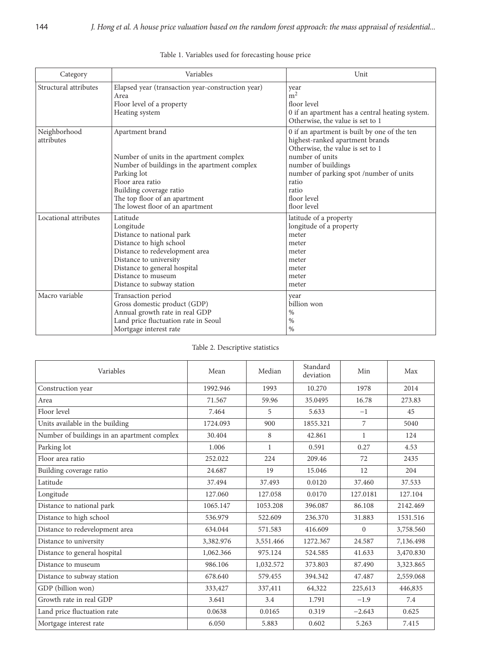| Category                   | Variables                                                                                                                                                                                                                                      | Unit                                                                                                                                                                                                                                                     |
|----------------------------|------------------------------------------------------------------------------------------------------------------------------------------------------------------------------------------------------------------------------------------------|----------------------------------------------------------------------------------------------------------------------------------------------------------------------------------------------------------------------------------------------------------|
| Structural attributes      | Elapsed year (transaction year-construction year)<br>Area<br>Floor level of a property<br>Heating system                                                                                                                                       | year<br>$\rm \dot{m}^2$<br>floor level<br>0 if an apartment has a central heating system.<br>Otherwise, the value is set to 1                                                                                                                            |
| Neighborhood<br>attributes | Apartment brand<br>Number of units in the apartment complex<br>Number of buildings in the apartment complex<br>Parking lot<br>Floor area ratio<br>Building coverage ratio<br>The top floor of an apartment<br>The lowest floor of an apartment | 0 if an apartment is built by one of the ten<br>highest-ranked apartment brands<br>Otherwise, the value is set to 1<br>number of units<br>number of buildings<br>number of parking spot /number of units<br>ratio<br>ratio<br>floor level<br>floor level |
| Locational attributes      | Latitude<br>Longitude<br>Distance to national park<br>Distance to high school<br>Distance to redevelopment area<br>Distance to university<br>Distance to general hospital<br>Distance to museum<br>Distance to subway station                  | latitude of a property<br>longitude of a property<br>meter<br>meter<br>meter<br>meter<br>meter<br>meter<br>meter                                                                                                                                         |
| Macro variable             | Transaction period<br>Gross domestic product (GDP)<br>Annual growth rate in real GDP<br>Land price fluctuation rate in Seoul<br>Mortgage interest rate                                                                                         | year<br>billion won<br>$\%$<br>$\%$<br>$\frac{0}{0}$                                                                                                                                                                                                     |

# Table 1. Variables used for forecasting house price

# Table 2. Descriptive statistics

| Variables                                   | Mean      | Median       | Standard<br>deviation | Min      | Max       |
|---------------------------------------------|-----------|--------------|-----------------------|----------|-----------|
| Construction year                           | 1992.946  | 1993         | 10.270                | 1978     | 2014      |
| Area                                        | 71.567    | 59.96        | 35.0495               | 16.78    | 273.83    |
| Floor level                                 | 7.464     | 5            | 5.633                 | $-1$     | 45        |
| Units available in the building             | 1724.093  | 900          | 1855.321              | 7        | 5040      |
| Number of buildings in an apartment complex | 30.404    | 8            | 42.861                | 1        | 124       |
| Parking lot                                 | 1.006     | $\mathbf{1}$ | 0.591                 | 0.27     | 4.53      |
| Floor area ratio                            | 252.022   | 224          | 209.46                | 72       | 2435      |
| Building coverage ratio                     | 24.687    | 19           | 15.046                | 12       | 204       |
| Latitude                                    | 37.494    | 37.493       | 0.0120                | 37.460   | 37.533    |
| Longitude                                   | 127.060   | 127.058      | 0.0170                | 127.0181 | 127.104   |
| Distance to national park                   | 1065.147  | 1053.208     | 396.087               | 86.108   | 2142.469  |
| Distance to high school                     | 536.979   | 522.609      | 236.370               | 31.883   | 1531.516  |
| Distance to redevelopment area              | 634.044   | 571.583      | 416.609               | $\Omega$ | 3,758.560 |
| Distance to university                      | 3,382.976 | 3,551.466    | 1272.367              | 24.587   | 7,136.498 |
| Distance to general hospital                | 1,062.366 | 975.124      | 524.585               | 41.633   | 3,470.830 |
| Distance to museum                          | 986.106   | 1,032.572    | 373.803               | 87.490   | 3,323.865 |
| Distance to subway station                  | 678.640   | 579.455      | 394.342               | 47.487   | 2,559.068 |
| GDP (billion won)                           | 333,427   | 337,411      | 64,322                | 225,613  | 446,835   |
| Growth rate in real GDP                     | 3.641     | 3.4          | 1.791                 | $-1.9$   | 7.4       |
| Land price fluctuation rate                 | 0.0638    | 0.0165       | 0.319                 | $-2.643$ | 0.625     |
| Mortgage interest rate                      | 6.050     | 5.883        | 0.602                 | 5.263    | 7.415     |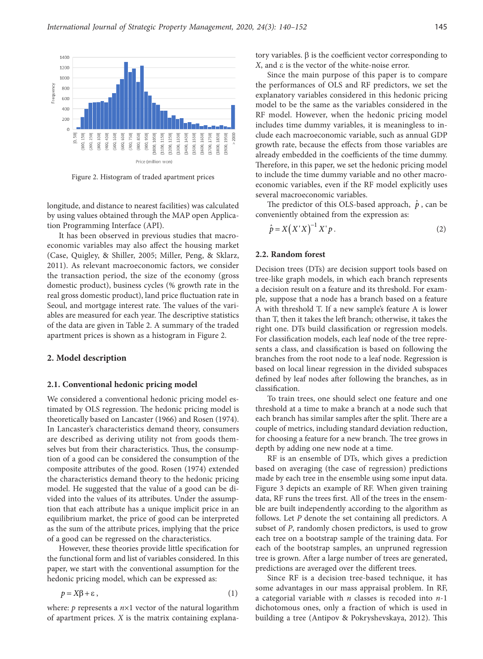

Figure 2. Histogram of traded apartment prices

longitude, and distance to nearest facilities) was calculated by using values obtained through the MAP open Application Programming Interface (API).

It has been observed in previous studies that macroeconomic variables may also affect the housing market (Case, Quigley, & Shiller, 2005; Miller, Peng, & Sklarz, 2011). As relevant macroeconomic factors, we consider the transaction period, the size of the economy (gross domestic product), business cycles (% growth rate in the real gross domestic product), land price fluctuation rate in Seoul, and mortgage interest rate. The values of the variables are measured for each year. The descriptive statistics of the data are given in Table 2. A summary of the traded apartment prices is shown as a histogram in Figure 2.

### **2. Model description**

#### **2.1. Conventional hedonic pricing model**

We considered a conventional hedonic pricing model estimated by OLS regression. The hedonic pricing model is theoretically based on Lancaster (1966) and Rosen (1974). In Lancaster's characteristics demand theory, consumers are described as deriving utility not from goods themselves but from their characteristics. Thus, the consumption of a good can be considered the consumption of the composite attributes of the good. Rosen (1974) extended the characteristics demand theory to the hedonic pricing model. He suggested that the value of a good can be divided into the values of its attributes. Under the assumption that each attribute has a unique implicit price in an equilibrium market, the price of good can be interpreted as the sum of the attribute prices, implying that the price of a good can be regressed on the characteristics.

However, these theories provide little specification for the functional form and list of variables considered. In this paper, we start with the conventional assumption for the hedonic pricing model, which can be expressed as:

$$
p = X\beta + \varepsilon \,,\tag{1}
$$

where: *p* represents a *n*×1 vector of the natural logarithm of apartment prices. *X* is the matrix containing explana-

tory variables.  $\beta$  is the coefficient vector corresponding to *X*, and ε is the vector of the white-noise error.

Since the main purpose of this paper is to compare the performances of OLS and RF predictors, we set the explanatory variables considered in this hedonic pricing model to be the same as the variables considered in the RF model. However, when the hedonic pricing model includes time dummy variables, it is meaningless to include each macroeconomic variable, such as annual GDP growth rate, because the effects from those variables are already embedded in the coefficients of the time dummy. Therefore, in this paper, we set the hedonic pricing model to include the time dummy variable and no other macroeconomic variables, even if the RF model explicitly uses several macroeconomic variables.

The predictor of this OLS-based approach,  $\hat{p}$ , can be conveniently obtained from the expression as:

$$
\hat{p} = X(X'X)^{-1}X'p.
$$
\n(2)

#### **2.2. Random forest**

Decision trees (DTs) are decision support tools based on tree-like graph models, in which each branch represents a decision result on a feature and its threshold. For example, suppose that a node has a branch based on a feature A with threshold T. If a new sample's feature A is lower than T, then it takes the left branch; otherwise, it takes the right one. DTs build classification or regression models. For classification models, each leaf node of the tree represents a class, and classification is based on following the branches from the root node to a leaf node. Regression is based on local linear regression in the divided subspaces defined by leaf nodes after following the branches, as in classification.

To train trees, one should select one feature and one threshold at a time to make a branch at a node such that each branch has similar samples after the split. There are a couple of metrics, including standard deviation reduction, for choosing a feature for a new branch. The tree grows in depth by adding one new node at a time.

RF is an ensemble of DTs, which gives a prediction based on averaging (the case of regression) predictions made by each tree in the ensemble using some input data. Figure 3 depicts an example of RF. When given training data, RF runs the trees first. All of the trees in the ensemble are built independently according to the algorithm as follows. Let *P* denote the set containing all predictors. A subset of *P*, randomly chosen predictors, is used to grow each tree on a bootstrap sample of the training data. For each of the bootstrap samples, an unpruned regression tree is grown. After a large number of trees are generated, predictions are averaged over the different trees.

Since RF is a decision tree-based technique, it has some advantages in our mass appraisal problem. In RF, a categorial variable with *n* classes is recoded into *n*-1 dichotomous ones, only a fraction of which is used in building a tree (Antipov & Pokryshevskaya, 2012). This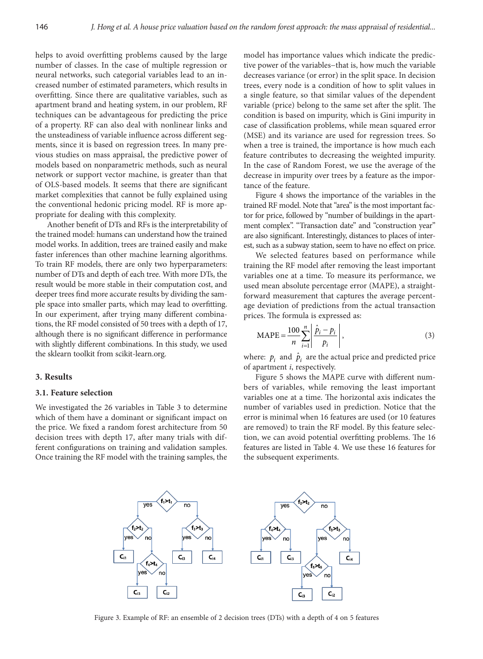helps to avoid overfitting problems caused by the large number of classes. In the case of multiple regression or neural networks, such categorial variables lead to an increased number of estimated parameters, which results in overfitting. Since there are qualitative variables, such as apartment brand and heating system, in our problem, RF techniques can be advantageous for predicting the price of a property. RF can also deal with nonlinear links and the unsteadiness of variable influence across different segments, since it is based on regression trees. In many previous studies on mass appraisal, the predictive power of models based on nonparametric methods, such as neural network or support vector machine, is greater than that of OLS-based models. It seems that there are significant market complexities that cannot be fully explained using the conventional hedonic pricing model. RF is more appropriate for dealing with this complexity.

Another benefit of DTs and RFs is the interpretability of the trained model: humans can understand how the trained model works. In addition, trees are trained easily and make faster inferences than other machine learning algorithms. To train RF models, there are only two hyperparameters: number of DTs and depth of each tree. With more DTs, the result would be more stable in their computation cost, and deeper trees find more accurate results by dividing the sample space into smaller parts, which may lead to overfitting. In our experiment, after trying many different combinations, the RF model consisted of 50 trees with a depth of 17, although there is no significant difference in performance with slightly different combinations. In this study, we used the sklearn toolkit from scikit-learn.org.

#### **3. Results**

#### **3.1. Feature selection**

We investigated the 26 variables in Table 3 to determine which of them have a dominant or significant impact on the price. We fixed a random forest architecture from 50 decision trees with depth 17, after many trials with different configurations on training and validation samples. Once training the RF model with the training samples, the model has importance values which indicate the predictive power of the variables−that is, how much the variable decreases variance (or error) in the split space. In decision trees, every node is a condition of how to split values in a single feature, so that similar values of the dependent variable (price) belong to the same set after the split. The condition is based on impurity, which is Gini impurity in case of classification problems, while mean squared error (MSE) and its variance are used for regression trees. So when a tree is trained, the importance is how much each feature contributes to decreasing the weighted impurity. In the case of Random Forest, we use the average of the decrease in impurity over trees by a feature as the importance of the feature.

Figure 4 shows the importance of the variables in the trained RF model. Note that "area" is the most important factor for price, followed by "number of buildings in the apartment complex". "Transaction date" and "construction year" are also significant. Interestingly, distances to places of interest, such as a subway station, seem to have no effect on price.

We selected features based on performance while training the RF model after removing the least important variables one at a time. To measure its performance, we used mean absolute percentage error (MAPE), a straightforward measurement that captures the average percentage deviation of predictions from the actual transaction prices. The formula is expressed as:

$$
MAPE = \frac{100}{n} \sum_{i=1}^{n} \left| \frac{\hat{p}_i - p_i}{p_i} \right|,
$$
 (3)

where:  $p_i$  and  $\hat{p}_i$  are the actual price and predicted price of apartment *i*, respectively.

Figure 5 shows the MAPE curve with different numbers of variables, while removing the least important variables one at a time. The horizontal axis indicates the number of variables used in prediction. Notice that the error is minimal when 16 features are used (or 10 features are removed) to train the RF model. By this feature selection, we can avoid potential overfitting problems. The 16 features are listed in Table 4. We use these 16 features for the subsequent experiments.



Figure 3. Example of RF: an ensemble of 2 decision trees (DTs) with a depth of 4 on 5 features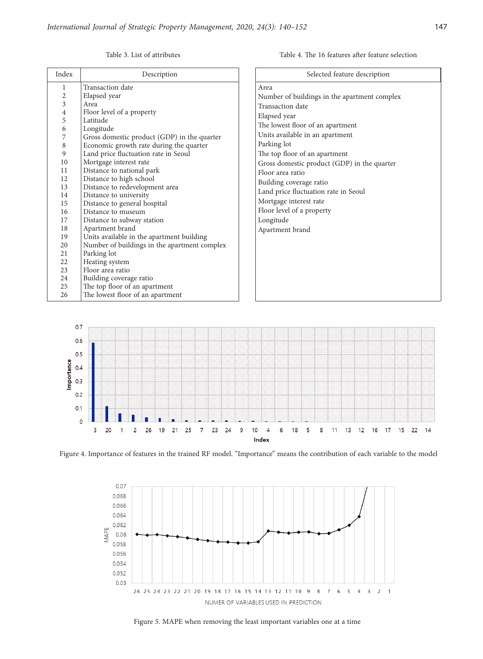Table 4. The 16 features after feature selection

Table 3. List of attributes

| Index                                                                                                                                           | Description                                                                                                                                                                                                                                                                                                                                                                                                                                                                                                                                                                                                                                                                                                                             | Selected feature description                                                                                                                                                                                                                                                                                                                                                                                                                 |
|-------------------------------------------------------------------------------------------------------------------------------------------------|-----------------------------------------------------------------------------------------------------------------------------------------------------------------------------------------------------------------------------------------------------------------------------------------------------------------------------------------------------------------------------------------------------------------------------------------------------------------------------------------------------------------------------------------------------------------------------------------------------------------------------------------------------------------------------------------------------------------------------------------|----------------------------------------------------------------------------------------------------------------------------------------------------------------------------------------------------------------------------------------------------------------------------------------------------------------------------------------------------------------------------------------------------------------------------------------------|
| 1<br>2<br>3<br>4<br>5<br>6<br>7<br>8<br>9<br>10<br>11<br>12<br>13<br>14<br>15<br>16<br>17<br>18<br>19<br>20<br>21<br>22<br>23<br>24<br>25<br>26 | Transaction date<br>Elapsed year<br>Area<br>Floor level of a property<br>Latitude<br>Longitude<br>Gross domestic product (GDP) in the quarter<br>Economic growth rate during the quarter<br>Land price fluctuation rate in Seoul<br>Mortgage interest rate<br>Distance to national park<br>Distance to high school<br>Distance to redevelopment area<br>Distance to university<br>Distance to general hospital<br>Distance to museum<br>Distance to subway station<br>Apartment brand<br>Units available in the apartment building<br>Number of buildings in the apartment complex<br>Parking lot<br>Heating system<br>Floor area ratio<br>Building coverage ratio<br>The top floor of an apartment<br>The lowest floor of an apartment | Area<br>Number of buildings in the apartment complex<br>Transaction date<br>Elapsed year<br>The lowest floor of an apartment<br>Units available in an apartment<br>Parking lot<br>The top floor of an apartment<br>Gross domestic product (GDP) in the quarter<br>Floor area ratio<br>Building coverage ratio<br>Land price fluctuation rate in Seoul<br>Mortgage interest rate<br>Floor level of a property<br>Longitude<br>Apartment brand |



Figure 4. Importance of features in the trained RF model. "Importance" means the contribution of each variable to the model



Figure 5. MAPE when removing the least important variables one at a time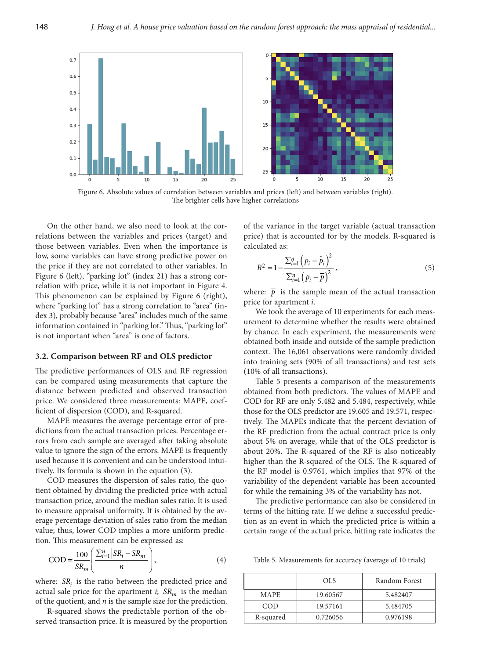

Figure 6. Absolute values of correlation between variables and prices (left) and between variables (right). The brighter cells have higher correlations

On the other hand, we also need to look at the correlations between the variables and prices (target) and those between variables. Even when the importance is low, some variables can have strong predictive power on the price if they are not correlated to other variables. In Figure 6 (left), "parking lot" (index 21) has a strong correlation with price, while it is not important in Figure 4. This phenomenon can be explained by Figure 6 (right), where "parking lot" has a strong correlation to "area" (index 3), probably because "area" includes much of the same information contained in "parking lot." Thus, "parking lot" is not important when "area" is one of factors.

### **3.2. Comparison between RF and OLS predictor**

The predictive performances of OLS and RF regression can be compared using measurements that capture the distance between predicted and observed transaction price. We considered three measurements: MAPE, coefficient of dispersion (COD), and R-squared.

MAPE measures the average percentage error of predictions from the actual transaction prices. Percentage errors from each sample are averaged after taking absolute value to ignore the sign of the errors. MAPE is frequently used because it is convenient and can be understood intuitively. Its formula is shown in the equation (3).

COD measures the dispersion of sales ratio, the quotient obtained by dividing the predicted price with actual transaction price, around the median sales ratio. It is used to measure appraisal uniformity. It is obtained by the average percentage deviation of sales ratio from the median value; thus, lower COD implies a more uniform prediction. This measurement can be expressed as:

$$
COD = \frac{100}{SR_m} \left( \frac{\sum_{i=1}^{n} |SR_i - SR_m|}{n} \right),\tag{4}
$$

where:  $SR<sub>i</sub>$  is the ratio between the predicted price and actual sale price for the apartment  $i$ ;  $SR_m$  is the median of the quotient, and *n* is the sample size for the prediction.

R-squared shows the predictable portion of the observed transaction price. It is measured by the proportion of the variance in the target variable (actual transaction price) that is accounted for by the models. R-squared is calculated as:

$$
R^{2} = 1 - \frac{\sum_{i=1}^{n} (p_{i} - \hat{p}_{i})^{2}}{\sum_{i=1}^{n} (p_{i} - \overline{p})^{2}},
$$
\n(5)

where:  $\bar{p}$  is the sample mean of the actual transaction price for apartment *i*.

We took the average of 10 experiments for each measurement to determine whether the results were obtained by chance. In each experiment, the measurements were obtained both inside and outside of the sample prediction context. The 16,061 observations were randomly divided into training sets (90% of all transactions) and test sets (10% of all transactions).

Table 5 presents a comparison of the measurements obtained from both predictors. The values of MAPE and COD for RF are only 5.482 and 5.484, respectively, while those for the OLS predictor are 19.605 and 19.571, respectively. The MAPEs indicate that the percent deviation of the RF prediction from the actual contract price is only about 5% on average, while that of the OLS predictor is about 20%. The R-squared of the RF is also noticeably higher than the R-squared of the OLS. The R-squared of the RF model is 0.9761, which implies that 97% of the variability of the dependent variable has been accounted for while the remaining 3% of the variability has not.

The predictive performance can also be considered in terms of the hitting rate. If we define a successful prediction as an event in which the predicted price is within a certain range of the actual price, hitting rate indicates the

Table 5. Measurements for accuracy (average of 10 trials)

|           | <b>OLS</b> | Random Forest |
|-----------|------------|---------------|
| MAPE.     | 19.60567   | 5.482407      |
| COD.      | 19.57161   | 5.484705      |
| R-squared | 0.726056   | 0.976198      |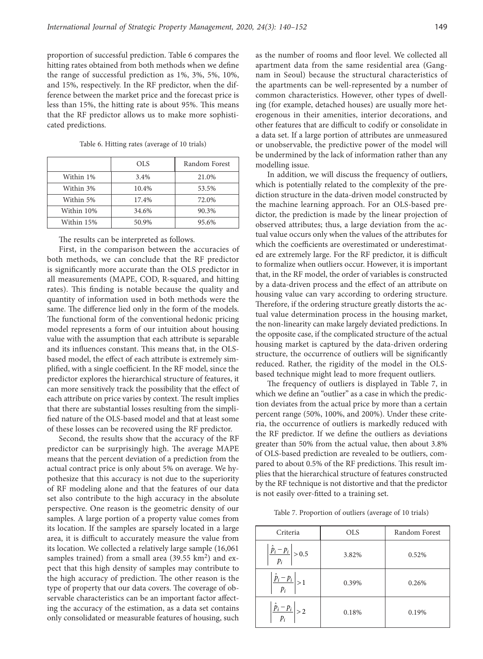proportion of successful prediction. Table 6 compares the hitting rates obtained from both methods when we define the range of successful prediction as 1%, 3%, 5%, 10%, and 15%, respectively. In the RF predictor, when the difference between the market price and the forecast price is less than 15%, the hitting rate is about 95%. This means that the RF predictor allows us to make more sophisticated predictions.

|            | OLS   | Random Forest |
|------------|-------|---------------|
| Within 1%  | 3.4%  | 21.0%         |
| Within 3%  | 10.4% | 53.5%         |
| Within 5%  | 17.4% | 72.0%         |
| Within 10% | 34.6% | 90.3%         |
| Within 15% | 50.9% | 95.6%         |

Table 6. Hitting rates (average of 10 trials)

The results can be interpreted as follows.

First, in the comparison between the accuracies of both methods, we can conclude that the RF predictor is significantly more accurate than the OLS predictor in all measurements (MAPE, COD, R-squared, and hitting rates). This finding is notable because the quality and quantity of information used in both methods were the same. The difference lied only in the form of the models. The functional form of the conventional hedonic pricing model represents a form of our intuition about housing value with the assumption that each attribute is separable and its influences constant. This means that, in the OLSbased model, the effect of each attribute is extremely simplified, with a single coefficient. In the RF model, since the predictor explores the hierarchical structure of features, it can more sensitively track the possibility that the effect of each attribute on price varies by context. The result implies that there are substantial losses resulting from the simplified nature of the OLS-based model and that at least some of these losses can be recovered using the RF predictor.

Second, the results show that the accuracy of the RF predictor can be surprisingly high. The average MAPE means that the percent deviation of a prediction from the actual contract price is only about 5% on average. We hypothesize that this accuracy is not due to the superiority of RF modeling alone and that the features of our data set also contribute to the high accuracy in the absolute perspective. One reason is the geometric density of our samples. A large portion of a property value comes from its location. If the samples are sparsely located in a large area, it is difficult to accurately measure the value from its location. We collected a relatively large sample (16,061 samples trained) from a small area  $(39.55 \text{ km}^2)$  and expect that this high density of samples may contribute to the high accuracy of prediction. The other reason is the type of property that our data covers. The coverage of observable characteristics can be an important factor affecting the accuracy of the estimation, as a data set contains only consolidated or measurable features of housing, such as the number of rooms and floor level. We collected all apartment data from the same residential area (Gangnam in Seoul) because the structural characteristics of the apartments can be well-represented by a number of common characteristics. However, other types of dwelling (for example, detached houses) are usually more heterogenous in their amenities, interior decorations, and other features that are difficult to codify or consolidate in a data set. If a large portion of attributes are unmeasured or unobservable, the predictive power of the model will be undermined by the lack of information rather than any modelling issue.

In addition, we will discuss the frequency of outliers, which is potentially related to the complexity of the prediction structure in the data-driven model constructed by the machine learning approach. For an OLS-based predictor, the prediction is made by the linear projection of observed attributes; thus, a large deviation from the actual value occurs only when the values of the attributes for which the coefficients are overestimated or underestimated are extremely large. For the RF predictor, it is difficult to formalize when outliers occur. However, it is important that, in the RF model, the order of variables is constructed by a data-driven process and the effect of an attribute on housing value can vary according to ordering structure. Therefore, if the ordering structure greatly distorts the actual value determination process in the housing market, the non-linearity can make largely deviated predictions. In the opposite case, if the complicated structure of the actual housing market is captured by the data-driven ordering structure, the occurrence of outliers will be significantly reduced. Rather, the rigidity of the model in the OLSbased technique might lead to more frequent outliers.

The frequency of outliers is displayed in Table 7, in which we define an "outlier" as a case in which the prediction deviates from the actual price by more than a certain percent range (50%, 100%, and 200%). Under these criteria, the occurrence of outliers is markedly reduced with the RF predictor. If we define the outliers as deviations greater than 50% from the actual value, then about 3.8% of OLS-based prediction are revealed to be outliers, compared to about 0.5% of the RF predictions. This result implies that the hierarchical structure of features constructed by the RF technique is not distortive and that the predictor is not easily over-fitted to a training set.

Table 7. Proportion of outliers (average of 10 trials)

| Criteria                                                         | <b>OLS</b> | Random Forest |
|------------------------------------------------------------------|------------|---------------|
| $\left  \frac{\hat{p}_i - p_i}{p_i} \right  > 0.5$               | 3.82%      | 0.52%         |
| $\left  \frac{\overline{p}_i - p_i}{\overline{p}_i} \right  > 1$ | 0.39%      | 0.26%         |
| $\left \frac{\hat{p}_i-p_i}{p_i}\right >2$                       | 0.18%      | 0.19%         |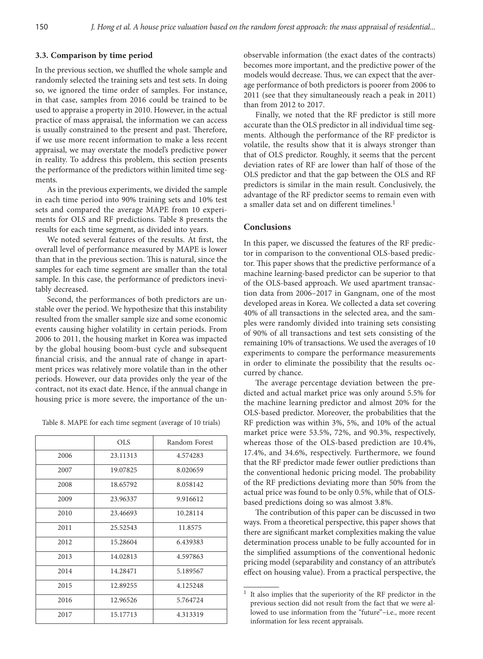## **3.3. Comparison by time period**

In the previous section, we shuffled the whole sample and randomly selected the training sets and test sets. In doing so, we ignored the time order of samples. For instance, in that case, samples from 2016 could be trained to be used to appraise a property in 2010. However, in the actual practice of mass appraisal, the information we can access is usually constrained to the present and past. Therefore, if we use more recent information to make a less recent appraisal, we may overstate the model's predictive power in reality. To address this problem, this section presents the performance of the predictors within limited time segments.

As in the previous experiments, we divided the sample in each time period into 90% training sets and 10% test sets and compared the average MAPE from 10 experiments for OLS and RF predictions. Table 8 presents the results for each time segment, as divided into years.

We noted several features of the results. At first, the overall level of performance measured by MAPE is lower than that in the previous section. This is natural, since the samples for each time segment are smaller than the total sample. In this case, the performance of predictors inevitably decreased.

Second, the performances of both predictors are unstable over the period. We hypothesize that this instability resulted from the smaller sample size and some economic events causing higher volatility in certain periods. From 2006 to 2011, the housing market in Korea was impacted by the global housing boom-bust cycle and subsequent financial crisis, and the annual rate of change in apartment prices was relatively more volatile than in the other periods. However, our data provides only the year of the contract, not its exact date. Hence, if the annual change in housing price is more severe, the importance of the un-

Table 8. MAPE for each time segment (average of 10 trials)

|      | OLS.     | Random Forest |
|------|----------|---------------|
| 2006 | 23.11313 | 4.574283      |
| 2007 | 19.07825 | 8.020659      |
| 2008 | 18.65792 | 8.058142      |
| 2009 | 23.96337 | 9.916612      |
| 2010 | 23.46693 | 10.28114      |
| 2011 | 25.52543 | 11.8575       |
| 2012 | 15.28604 | 6.439383      |
| 2013 | 14.02813 | 4.597863      |
| 2014 | 14.28471 | 5.189567      |
| 2015 | 12.89255 | 4.125248      |
| 2016 | 12.96526 | 5.764724      |
| 2017 | 15.17713 | 4.313319      |

observable information (the exact dates of the contracts) becomes more important, and the predictive power of the models would decrease. Thus, we can expect that the average performance of both predictors is poorer from 2006 to 2011 (see that they simultaneously reach a peak in 2011) than from 2012 to 2017.

Finally, we noted that the RF predictor is still more accurate than the OLS predictor in all individual time segments. Although the performance of the RF predictor is volatile, the results show that it is always stronger than that of OLS predictor. Roughly, it seems that the percent deviation rates of RF are lower than half of those of the OLS predictor and that the gap between the OLS and RF predictors is similar in the main result. Conclusively, the advantage of the RF predictor seems to remain even with a smaller data set and on different timelines.<sup>1</sup>

## **Conclusions**

In this paper, we discussed the features of the RF predictor in comparison to the conventional OLS-based predictor. This paper shows that the predictive performance of a machine learning-based predictor can be superior to that of the OLS-based approach. We used apartment transaction data from 2006–2017 in Gangnam, one of the most developed areas in Korea. We collected a data set covering 40% of all transactions in the selected area, and the samples were randomly divided into training sets consisting of 90% of all transactions and test sets consisting of the remaining 10% of transactions. We used the averages of 10 experiments to compare the performance measurements in order to eliminate the possibility that the results occurred by chance.

The average percentage deviation between the predicted and actual market price was only around 5.5% for the machine learning predictor and almost 20% for the OLS-based predictor. Moreover, the probabilities that the RF prediction was within 3%, 5%, and 10% of the actual market price were 53.5%, 72%, and 90.3%, respectively, whereas those of the OLS-based prediction are 10.4%, 17.4%, and 34.6%, respectively. Furthermore, we found that the RF predictor made fewer outlier predictions than the conventional hedonic pricing model. The probability of the RF predictions deviating more than 50% from the actual price was found to be only 0.5%, while that of OLSbased predictions doing so was almost 3.8%.

The contribution of this paper can be discussed in two ways. From a theoretical perspective, this paper shows that there are significant market complexities making the value determination process unable to be fully accounted for in the simplified assumptions of the conventional hedonic pricing model (separability and constancy of an attribute's effect on housing value). From a practical perspective, the

<sup>&</sup>lt;sup>1</sup> It also implies that the superiority of the RF predictor in the previous section did not result from the fact that we were allowed to use information from the "future"−i.e., more recent information for less recent appraisals.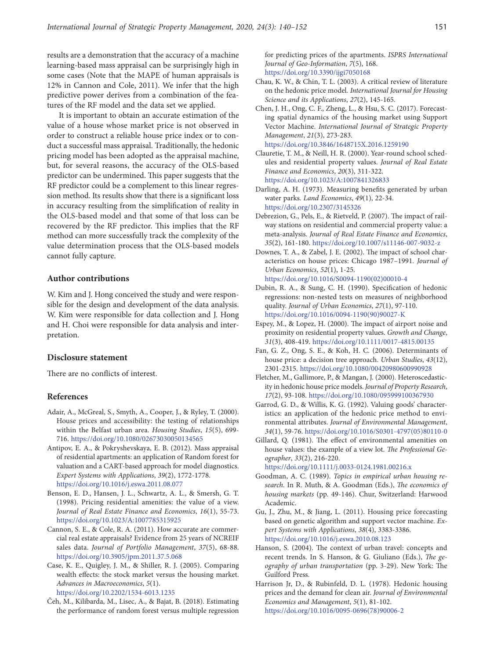results are a demonstration that the accuracy of a machine learning-based mass appraisal can be surprisingly high in some cases (Note that the MAPE of human appraisals is 12% in Cannon and Cole, 2011). We infer that the high predictive power derives from a combination of the features of the RF model and the data set we applied.

It is important to obtain an accurate estimation of the value of a house whose market price is not observed in order to construct a reliable house price index or to conduct a successful mass appraisal. Traditionally, the hedonic pricing model has been adopted as the appraisal machine, but, for several reasons, the accuracy of the OLS-based predictor can be undermined. This paper suggests that the RF predictor could be a complement to this linear regression method. Its results show that there is a significant loss in accuracy resulting from the simplification of reality in the OLS-based model and that some of that loss can be recovered by the RF predictor. This implies that the RF method can more successfully track the complexity of the value determination process that the OLS-based models cannot fully capture.

#### **Author contributions**

W. Kim and J. Hong conceived the study and were responsible for the design and development of the data analysis. W. Kim were responsible for data collection and J. Hong and H. Choi were responsible for data analysis and interpretation.

#### **Disclosure statement**

There are no conflicts of interest.

### **References**

- Adair, A., McGreal, S., Smyth, A., Cooper, J., & Ryley, T. (2000). House prices and accessibility: the testing of relationships within the Belfast urban area. *Housing Studies*, *15*(5), 699- 716.<https://doi.org/10.1080/02673030050134565>
- Antipov, E. A., & Pokryshevskaya, E. B. (2012). Mass appraisal of residential apartments: an application of Random forest for valuation and a CART-based approach for model diagnostics. *Expert Systems with Applications*, *39*(2), 1772-1778. <https://doi.org/10.1016/j.eswa.2011.08.077>
- Benson, E. D., Hansen, J. L., Schwartz, A. L., & Smersh, G. T. (1998). Pricing residential amenities: the value of a view. *Journal of Real Estate Finance and Economics*, *16*(1), 55-73. <https://doi.org/10.1023/A:1007785315925>
- Cannon, S. E., & Cole, R. A. (2011). How accurate are commercial real estate appraisals? Evidence from 25 years of NCREIF sales data. *Journal of Portfolio Management*, *37*(5), 68-88. <https://doi.org/10.3905/jpm.2011.37.5.068>
- Case, K. E., Quigley, J. M., & Shiller, R. J. (2005). Comparing wealth effects: the stock market versus the housing market. *Advances in Macroeconomics*, *5*(1). <https://doi.org/10.2202/1534-6013.1235>
- Čeh, M., Kilibarda, M., Lisec, A., & Bajat, B. (2018). Estimating the performance of random forest versus multiple regression

for predicting prices of the apartments. *ISPRS International Journal of Geo-Information*, *7*(5), 168. <https://doi.org/10.3390/ijgi7050168>

- Chau, K. W., & Chin, T. L. (2003). A critical review of literature on the hedonic price model*. International Journal for Housing Science and its Applications*, *27*(2), 145-165.
- Chen, J. H., Ong, C. F., Zheng, L., & Hsu, S. C. (2017). Forecasting spatial dynamics of the housing market using Support Vector Machine. *International Journal of Strategic Property Management*, *21*(3), 273-283. <https://doi.org/10.3846/1648715X.2016.1259190>
- Clauretie, T. M., & Neill, H. R. (2000). Year-round school schedules and residential property values. *Journal of Real Estate Finance and Economics*, *20*(3), 311-322. <https://doi.org/10.1023/A:1007841326833>
- Darling, A. H. (1973). Measuring benefits generated by urban water parks. *Land Economics*, *49*(1), 22-34. <https://doi.org/10.2307/3145326>
- Debrezion, G., Pels, E., & Rietveld, P. (2007). The impact of railway stations on residential and commercial property value: a meta-analysis. *Journal of Real Estate Finance and Economics*, *35*(2), 161-180. <https://doi.org/10.1007/s11146-007-9032-z>
- Downes, T. A., & Zabel, J. E. (2002). The impact of school characteristics on house prices: Chicago 1987–1991*. Journal of Urban Economics*, *52*(1), 1-25. [https://doi.org/10.1016/S0094-1190\(02\)00010-4](https://doi.org/10.1016/S0094-1190(02)00010-4)
- Dubin, R. A., & Sung, C. H. (1990). Specification of hedonic regressions: non-nested tests on measures of neighborhood quality. *Journal of Urban Economics*, *27*(1), 97-110. [https://doi.org/10.1016/0094-1190\(90\)90027-K](https://doi.org/10.1016/0094-1190(90)90027-K)
- Espey, M., & Lopez, H. (2000). The impact of airport noise and proximity on residential property values. *Growth and Change*, *31*(3), 408-419. <https://doi.org/10.1111/0017-4815.00135>
- Fan, G. Z., Ong, S. E., & Koh, H. C. (2006). Determinants of house price: a decision tree approach. *Urban Studies*, *43*(12), 2301-2315. <https://doi.org/10.1080/00420980600990928>
- Fletcher, M., Gallimore, P., & Mangan, J. (2000). Heteroscedasticity in hedonic house price models. *Journal of Property Research*, *17*(2), 93-108. <https://doi.org/10.1080/095999100367930>
- Garrod, G. D., & Willis, K. G. (1992). Valuing goods' characteristics: an application of the hedonic price method to environmental attributes. *Journal of Environmental Management*, *34*(1), 59-76. [https://doi.org/10.1016/S0301-4797\(05\)80110-0](https://doi.org/10.1016/S0301-4797(05)80110-0)
- Gillard, Q. (1981). The effect of environmental amenities on house values: the example of a view lot. *The Professional Geographer*, *33*(2), 216-220.
- <https://doi.org/10.1111/j.0033-0124.1981.00216.x> Goodman, A. C. (1989). *Topics in empirical urban housing research.* In R. Muth, & A. Goodman (Eds.), *The economics of housing markets* (pp. 49-146). Chur, Switzerland: Harwood Academic.
- Gu, J., Zhu, M., & Jiang, L. (2011). Housing price forecasting based on genetic algorithm and support vector machine. *Expert Systems with Applications*, *38*(4), 3383-3386. <https://doi.org/10.1016/j.eswa.2010.08.123>
- Hanson, S. (2004). The context of urban travel: concepts and recent trends. In S. Hanson, & G. Giuliano (Eds.), *The geography of urban transportation* (pp. 3-29). New York: The Guilford Press.
- Harrison Jr, D., & Rubinfeld, D. L. (1978). Hedonic housing prices and the demand for clean air. *Journal of Environmental Economics and Management*, *5*(1), 81-102. [https://doi.org/10.1016/0095-0696\(78\)90006-2](https://doi.org/10.1016/0095-0696(78)90006-2)